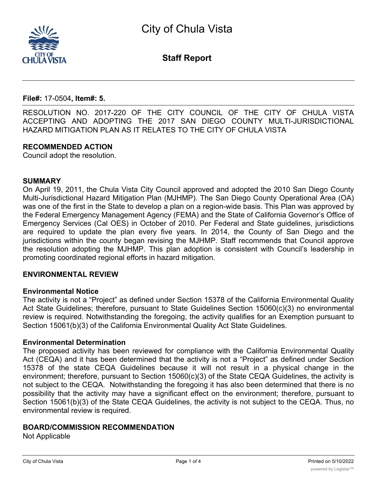

**Staff Report**

**File#:** 17-0504**, Item#: 5.**

RESOLUTION NO. 2017-220 OF THE CITY COUNCIL OF THE CITY OF CHULA VISTA ACCEPTING AND ADOPTING THE 2017 SAN DIEGO COUNTY MULTI-JURISDICTIONAL HAZARD MITIGATION PLAN AS IT RELATES TO THE CITY OF CHULA VISTA

### **RECOMMENDED ACTION**

Council adopt the resolution.

### **SUMMARY**

On April 19, 2011, the Chula Vista City Council approved and adopted the 2010 San Diego County Multi-Jurisdictional Hazard Mitigation Plan (MJHMP). The San Diego County Operational Area (OA) was one of the first in the State to develop a plan on a region-wide basis. This Plan was approved by the Federal Emergency Management Agency (FEMA) and the State of California Governor's Office of Emergency Services (Cal OES) in October of 2010. Per Federal and State guidelines, jurisdictions are required to update the plan every five years. In 2014, the County of San Diego and the jurisdictions within the county began revising the MJHMP. Staff recommends that Council approve the resolution adopting the MJHMP. This plan adoption is consistent with Council's leadership in promoting coordinated regional efforts in hazard mitigation.

### **ENVIRONMENTAL REVIEW**

### **Environmental Notice**

The activity is not a "Project" as defined under Section 15378 of the California Environmental Quality Act State Guidelines; therefore, pursuant to State Guidelines Section 15060(c)(3) no environmental review is required. Notwithstanding the foregoing, the activity qualifies for an Exemption pursuant to Section 15061(b)(3) of the California Environmental Quality Act State Guidelines.

### **Environmental Determination**

The proposed activity has been reviewed for compliance with the California Environmental Quality Act (CEQA) and it has been determined that the activity is not a "Project" as defined under Section 15378 of the state CEQA Guidelines because it will not result in a physical change in the environment; therefore, pursuant to Section 15060(c)(3) of the State CEQA Guidelines, the activity is not subject to the CEQA. Notwithstanding the foregoing it has also been determined that there is no possibility that the activity may have a significant effect on the environment; therefore, pursuant to Section 15061(b)(3) of the State CEQA Guidelines, the activity is not subject to the CEQA. Thus, no environmental review is required.

### **BOARD/COMMISSION RECOMMENDATION**

Not Applicable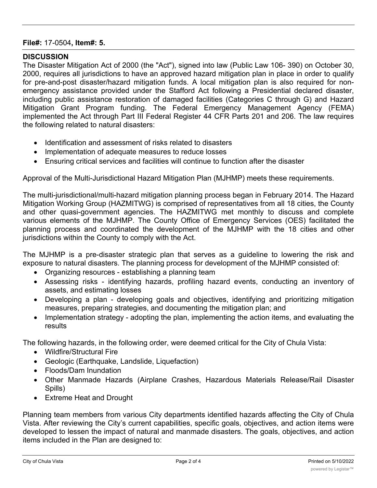# **File#:** 17-0504**, Item#: 5.**

## **DISCUSSION**

The Disaster Mitigation Act of 2000 (the "Act"), signed into law (Public Law 106- 390) on October 30, 2000, requires all jurisdictions to have an approved hazard mitigation plan in place in order to qualify for pre-and-post disaster/hazard mitigation funds. A local mitigation plan is also required for nonemergency assistance provided under the Stafford Act following a Presidential declared disaster, including public assistance restoration of damaged facilities (Categories C through G) and Hazard Mitigation Grant Program funding. The Federal Emergency Management Agency (FEMA) implemented the Act through Part III Federal Register 44 CFR Parts 201 and 206. The law requires the following related to natural disasters:

- · Identification and assessment of risks related to disasters
- · Implementation of adequate measures to reduce losses
- · Ensuring critical services and facilities will continue to function after the disaster

Approval of the Multi-Jurisdictional Hazard Mitigation Plan (MJHMP) meets these requirements.

The multi-jurisdictional/multi-hazard mitigation planning process began in February 2014. The Hazard Mitigation Working Group (HAZMITWG) is comprised of representatives from all 18 cities, the County and other quasi-government agencies. The HAZMITWG met monthly to discuss and complete various elements of the MJHMP. The County Office of Emergency Services (OES) facilitated the planning process and coordinated the development of the MJHMP with the 18 cities and other jurisdictions within the County to comply with the Act.

The MJHMP is a pre-disaster strategic plan that serves as a guideline to lowering the risk and exposure to natural disasters. The planning process for development of the MJHMP consisted of:

- · Organizing resources establishing a planning team
- · Assessing risks identifying hazards, profiling hazard events, conducting an inventory of assets, and estimating losses
- · Developing a plan developing goals and objectives, identifying and prioritizing mitigation measures, preparing strategies, and documenting the mitigation plan; and
- · Implementation strategy adopting the plan, implementing the action items, and evaluating the results

The following hazards, in the following order, were deemed critical for the City of Chula Vista:

- · Wildfire/Structural Fire
- · Geologic (Earthquake, Landslide, Liquefaction)
- · Floods/Dam Inundation
- · Other Manmade Hazards (Airplane Crashes, Hazardous Materials Release/Rail Disaster Spills)
- · Extreme Heat and Drought

Planning team members from various City departments identified hazards affecting the City of Chula Vista. After reviewing the City's current capabilities, specific goals, objectives, and action items were developed to lessen the impact of natural and manmade disasters. The goals, objectives, and action items included in the Plan are designed to: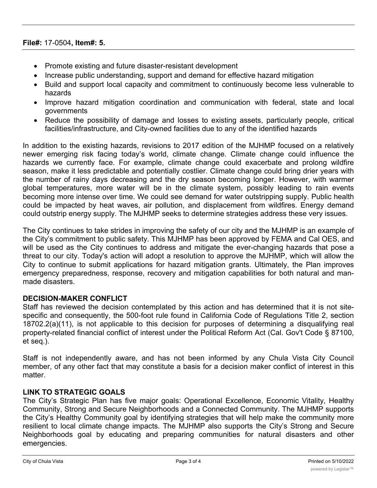### **File#:** 17-0504**, Item#: 5.**

- · Promote existing and future disaster-resistant development
- · Increase public understanding, support and demand for effective hazard mitigation
- · Build and support local capacity and commitment to continuously become less vulnerable to hazards
- · Improve hazard mitigation coordination and communication with federal, state and local governments
- · Reduce the possibility of damage and losses to existing assets, particularly people, critical facilities/infrastructure, and City-owned facilities due to any of the identified hazards

In addition to the existing hazards, revisions to 2017 edition of the MJHMP focused on a relatively newer emerging risk facing today's world, climate change. Climate change could influence the hazards we currently face. For example, climate change could exacerbate and prolong wildfire season, make it less predictable and potentially costlier. Climate change could bring drier years with the number of rainy days decreasing and the dry season becoming longer. However, with warmer global temperatures, more water will be in the climate system, possibly leading to rain events becoming more intense over time. We could see demand for water outstripping supply. Public health could be impacted by heat waves, air pollution, and displacement from wildfires. Energy demand could outstrip energy supply. The MJHMP seeks to determine strategies address these very issues.

The City continues to take strides in improving the safety of our city and the MJHMP is an example of the City's commitment to public safety. This MJHMP has been approved by FEMA and Cal OES, and will be used as the City continues to address and mitigate the ever-changing hazards that pose a threat to our city. Today's action will adopt a resolution to approve the MJHMP, which will allow the City to continue to submit applications for hazard mitigation grants. Ultimately, the Plan improves emergency preparedness, response, recovery and mitigation capabilities for both natural and manmade disasters.

# **DECISION-MAKER CONFLICT**

Staff has reviewed the decision contemplated by this action and has determined that it is not sitespecific and consequently, the 500-foot rule found in California Code of Regulations Title 2, section 18702.2(a)(11), is not applicable to this decision for purposes of determining a disqualifying real property-related financial conflict of interest under the Political Reform Act (Cal. Gov't Code § 87100, et seq.).

Staff is not independently aware, and has not been informed by any Chula Vista City Council member, of any other fact that may constitute a basis for a decision maker conflict of interest in this matter.

## **LINK TO STRATEGIC GOALS**

The City's Strategic Plan has five major goals: Operational Excellence, Economic Vitality, Healthy Community, Strong and Secure Neighborhoods and a Connected Community. The MJHMP supports the City's Healthy Community goal by identifying strategies that will help make the community more resilient to local climate change impacts. The MJHMP also supports the City's Strong and Secure Neighborhoods goal by educating and preparing communities for natural disasters and other emergencies.